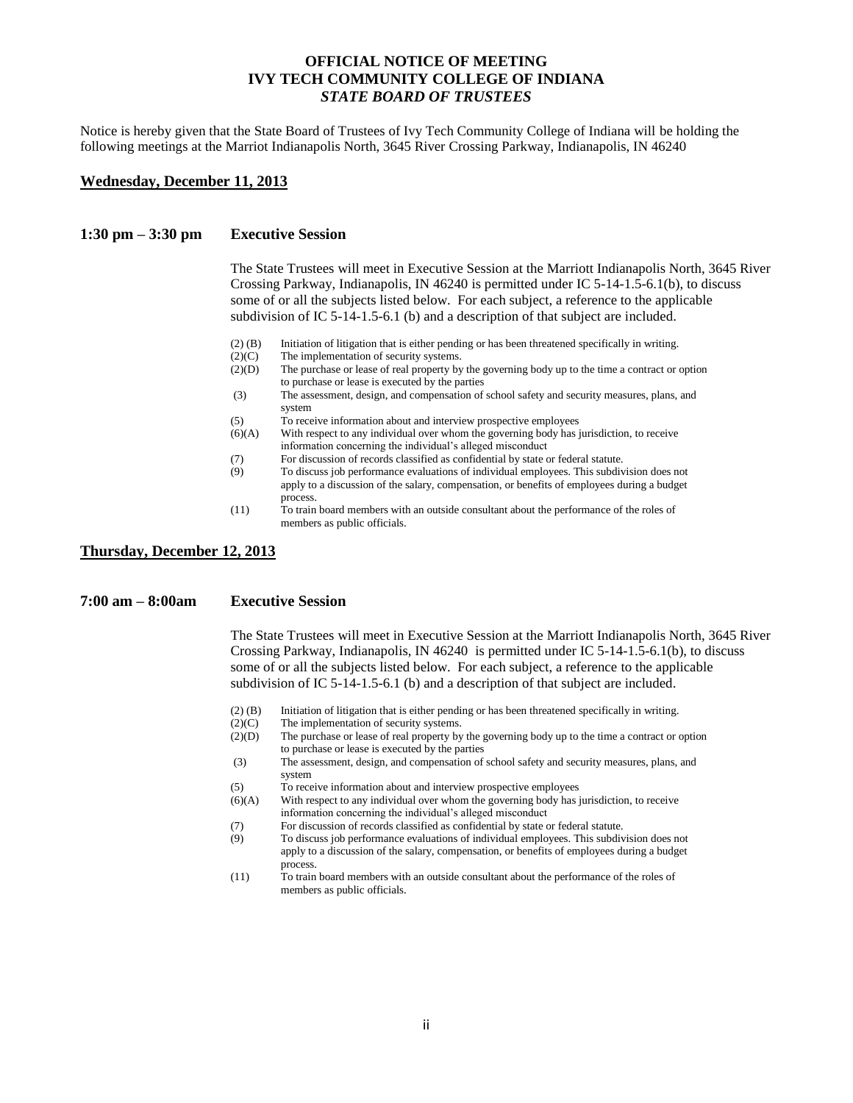## **OFFICIAL NOTICE OF MEETING IVY TECH COMMUNITY COLLEGE OF INDIANA** *STATE BOARD OF TRUSTEES*

Notice is hereby given that the State Board of Trustees of Ivy Tech Community College of Indiana will be holding the following meetings at the Marriot Indianapolis North, 3645 River Crossing Parkway, Indianapolis, IN 46240

#### **Wednesday, December 11, 2013**

#### **1:30 pm – 3:30 pm Executive Session**

The State Trustees will meet in Executive Session at the Marriott Indianapolis North, 3645 River Crossing Parkway, Indianapolis, IN 46240 is permitted under IC 5-14-1.5-6.1(b), to discuss some of or all the subjects listed below. For each subject, a reference to the applicable subdivision of IC 5-14-1.5-6.1 (b) and a description of that subject are included.

- (2) (B) Initiation of litigation that is either pending or has been threatened specifically in writing.
- (2)(C) The implementation of security systems.
- (2)(D) The purchase or lease of real property by the governing body up to the time a contract or option to purchase or lease is executed by the parties
- (3) The assessment, design, and compensation of school safety and security measures, plans, and system
- (5) To receive information about and interview prospective employees
- (6)(A) With respect to any individual over whom the governing body has jurisdiction, to receive information concerning the individual's alleged misconduct
- (7) For discussion of records classified as confidential by state or federal statute.
- (9) To discuss job performance evaluations of individual employees. This subdivision does not apply to a discussion of the salary, compensation, or benefits of employees during a budget process.
- (11) To train board members with an outside consultant about the performance of the roles of members as public officials.

**Thursday, December 12, 2013**

### **7:00 am – 8:00am Executive Session**

The State Trustees will meet in Executive Session at the Marriott Indianapolis North, 3645 River Crossing Parkway, Indianapolis, IN 46240 is permitted under IC 5-14-1.5-6.1(b), to discuss some of or all the subjects listed below. For each subject, a reference to the applicable subdivision of IC 5-14-1.5-6.1 (b) and a description of that subject are included.

- (2) (B) Initiation of litigation that is either pending or has been threatened specifically in writing.
- (2)(C) The implementation of security systems.<br>(2)(D) The purchase or lease of real property by
- The purchase or lease of real property by the governing body up to the time a contract or option to purchase or lease is executed by the parties
- (3) The assessment, design, and compensation of school safety and security measures, plans, and system
- (5) To receive information about and interview prospective employees
- (6)(A) With respect to any individual over whom the governing body has jurisdiction, to receive information concerning the individual's alleged misconduct
- (7) For discussion of records classified as confidential by state or federal statute.
- (9) To discuss job performance evaluations of individual employees. This subdivision does not apply to a discussion of the salary, compensation, or benefits of employees during a budget process.
- (11) To train board members with an outside consultant about the performance of the roles of members as public officials.